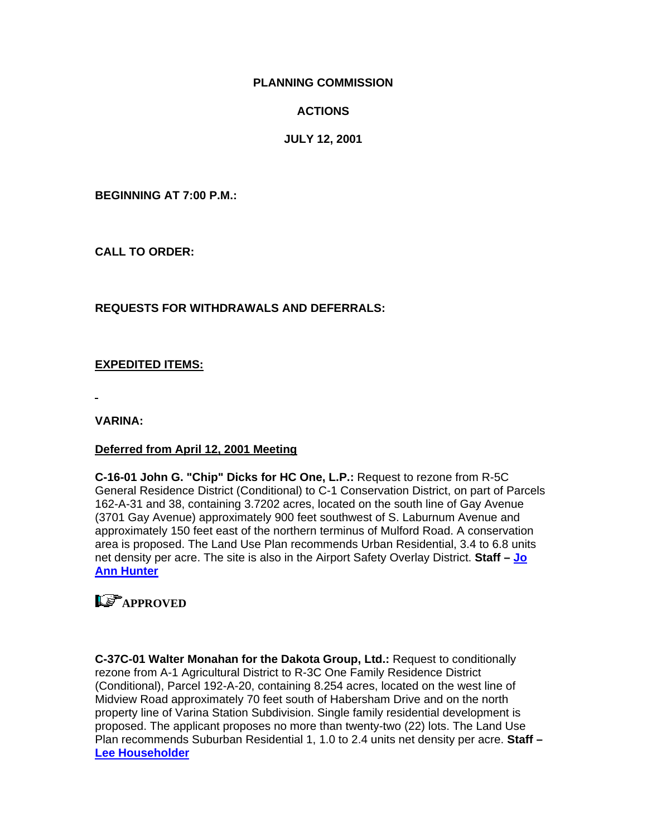#### **PLANNING COMMISSION**

#### **ACTIONS**

#### **JULY 12, 2001**

**BEGINNING AT 7:00 P.M.:** 

**CALL TO ORDER:** 

#### **REQUESTS FOR WITHDRAWALS AND DEFERRALS:**

#### **EXPEDITED ITEMS:**

**VARINA:** 

#### **Deferred from April 12, 2001 Meeting**

**C-16-01 John G. "Chip" Dicks for HC One, L.P.:** Request to rezone from R-5C General Residence District (Conditional) to C-1 Conservation District, on part of Parcels 162-A-31 and 38, containing 3.7202 acres, located on the south line of Gay Avenue (3701 Gay Avenue) approximately 900 feet southwest of S. Laburnum Avenue and approximately 150 feet east of the northern terminus of Mulford Road. A conservation area is proposed. The Land Use Plan recommends Urban Residential, 3.4 to 6.8 units net density per acre. The site is also in the Airport Safety Overlay District. **Staff – [Jo](mailto:hun30@co.henrico.va.us)  [Ann Hunter](mailto:hun30@co.henrico.va.us)**

## **LE** APPROVED

**C-37C-01 Walter Monahan for the Dakota Group, Ltd.:** Request to conditionally rezone from A-1 Agricultural District to R-3C One Family Residence District (Conditional), Parcel 192-A-20, containing 8.254 acres, located on the west line of Midview Road approximately 70 feet south of Habersham Drive and on the north property line of Varina Station Subdivision. Single family residential development is proposed. The applicant proposes no more than twenty-two (22) lots. The Land Use Plan recommends Suburban Residential 1, 1.0 to 2.4 units net density per acre. **Staff – [Lee Householder](mailto:hou10@co.henrico.va.us)**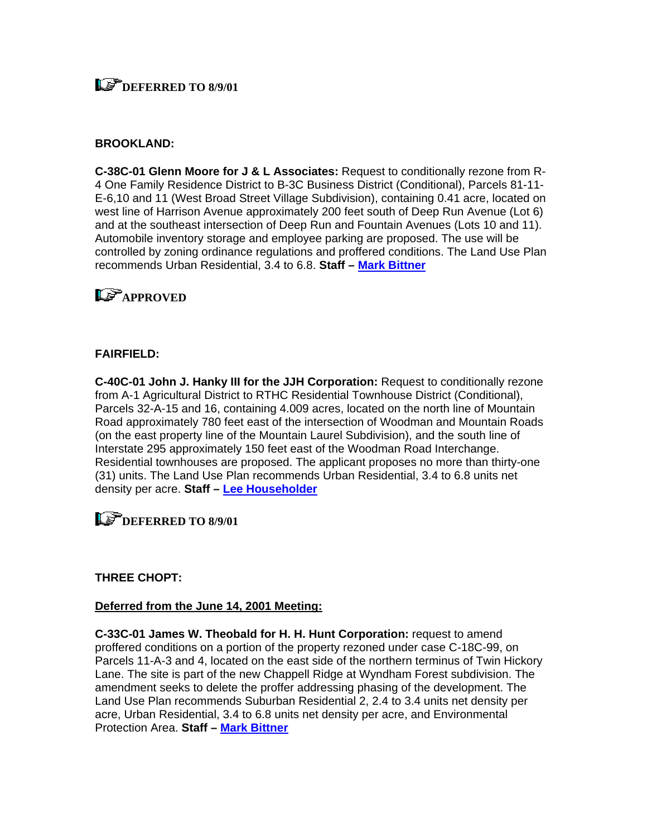## **LET DEFERRED TO 8/9/01**

#### **BROOKLAND:**

**C-38C-01 Glenn Moore for J & L Associates:** Request to conditionally rezone from R-4 One Family Residence District to B-3C Business District (Conditional), Parcels 81-11- E-6,10 and 11 (West Broad Street Village Subdivision), containing 0.41 acre, located on west line of Harrison Avenue approximately 200 feet south of Deep Run Avenue (Lot 6) and at the southeast intersection of Deep Run and Fountain Avenues (Lots 10 and 11). Automobile inventory storage and employee parking are proposed. The use will be controlled by zoning ordinance regulations and proffered conditions. The Land Use Plan recommends Urban Residential, 3.4 to 6.8. **Staff – [Mark Bittner](mailto:bit10@co.henrico.va.us)**

## **Le<sup>P</sup>APPROVED**

#### **FAIRFIELD:**

**C-40C-01 John J. Hanky III for the JJH Corporation:** Request to conditionally rezone from A-1 Agricultural District to RTHC Residential Townhouse District (Conditional), Parcels 32-A-15 and 16, containing 4.009 acres, located on the north line of Mountain Road approximately 780 feet east of the intersection of Woodman and Mountain Roads (on the east property line of the Mountain Laurel Subdivision), and the south line of Interstate 295 approximately 150 feet east of the Woodman Road Interchange. Residential townhouses are proposed. The applicant proposes no more than thirty-one (31) units. The Land Use Plan recommends Urban Residential, 3.4 to 6.8 units net density per acre. **Staff – [Lee Householder](mailto:hou10@co.henrico.va.us)**

### **DEFERRED TO 8/9/01**

#### **THREE CHOPT:**

#### **Deferred from the June 14, 2001 Meeting:**

**C-33C-01 James W. Theobald for H. H. Hunt Corporation:** request to amend proffered conditions on a portion of the property rezoned under case C-18C-99, on Parcels 11-A-3 and 4, located on the east side of the northern terminus of Twin Hickory Lane. The site is part of the new Chappell Ridge at Wyndham Forest subdivision. The amendment seeks to delete the proffer addressing phasing of the development. The Land Use Plan recommends Suburban Residential 2, 2.4 to 3.4 units net density per acre, Urban Residential, 3.4 to 6.8 units net density per acre, and Environmental Protection Area. **Staff – [Mark Bittner](mailto:bit10@co.henrico.va.us)**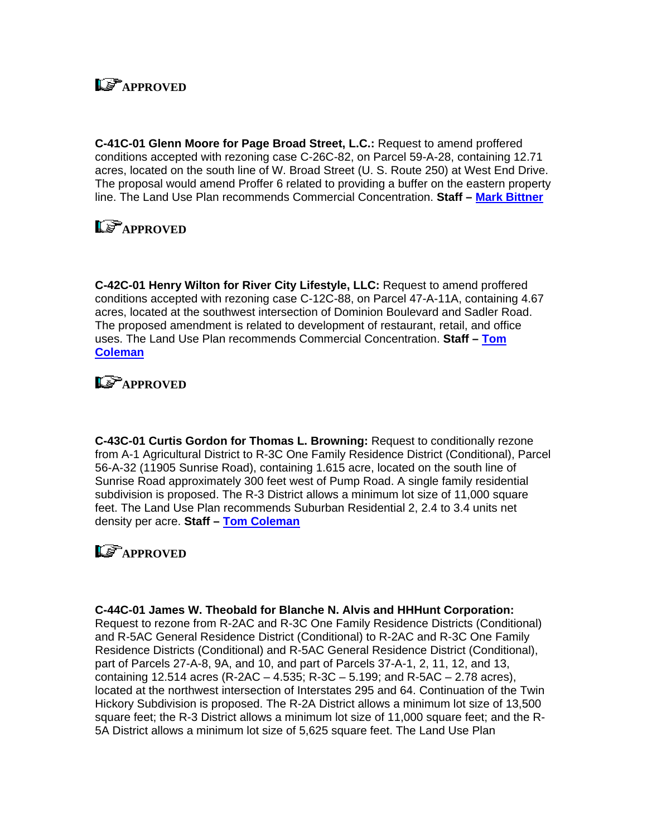# **LE<sup></sup>APPROVED**

**C-41C-01 Glenn Moore for Page Broad Street, L.C.:** Request to amend proffered conditions accepted with rezoning case C-26C-82, on Parcel 59-A-28, containing 12.71 acres, located on the south line of W. Broad Street (U. S. Route 250) at West End Drive. The proposal would amend Proffer 6 related to providing a buffer on the eastern property line. The Land Use Plan recommends Commercial Concentration. **Staff – [Mark Bittner](mailto:bit10@co.henrico.va.us)**

# **LS** APPROVED

**C-42C-01 Henry Wilton for River City Lifestyle, LLC:** Request to amend proffered conditions accepted with rezoning case C-12C-88, on Parcel 47-A-11A, containing 4.67 acres, located at the southwest intersection of Dominion Boulevard and Sadler Road. The proposed amendment is related to development of restaurant, retail, and office uses. The Land Use Plan recommends Commercial Concentration. **Staff – [Tom](mailto:col09@co.henrico.va.us)  [Coleman](mailto:col09@co.henrico.va.us)**

## **Ls**<sup>T</sup>APPROVED

**C-43C-01 Curtis Gordon for Thomas L. Browning:** Request to conditionally rezone from A-1 Agricultural District to R-3C One Family Residence District (Conditional), Parcel 56-A-32 (11905 Sunrise Road), containing 1.615 acre, located on the south line of Sunrise Road approximately 300 feet west of Pump Road. A single family residential subdivision is proposed. The R-3 District allows a minimum lot size of 11,000 square feet. The Land Use Plan recommends Suburban Residential 2, 2.4 to 3.4 units net density per acre. **Staff – [Tom Coleman](mailto:col09@co.henrico.va.us)**

# **LS** APPROVED

**C-44C-01 James W. Theobald for Blanche N. Alvis and HHHunt Corporation:**

Request to rezone from R-2AC and R-3C One Family Residence Districts (Conditional) and R-5AC General Residence District (Conditional) to R-2AC and R-3C One Family Residence Districts (Conditional) and R-5AC General Residence District (Conditional), part of Parcels 27-A-8, 9A, and 10, and part of Parcels 37-A-1, 2, 11, 12, and 13, containing 12.514 acres (R-2AC – 4.535; R-3C – 5.199; and R-5AC – 2.78 acres), located at the northwest intersection of Interstates 295 and 64. Continuation of the Twin Hickory Subdivision is proposed. The R-2A District allows a minimum lot size of 13,500 square feet; the R-3 District allows a minimum lot size of 11,000 square feet; and the R-5A District allows a minimum lot size of 5,625 square feet. The Land Use Plan